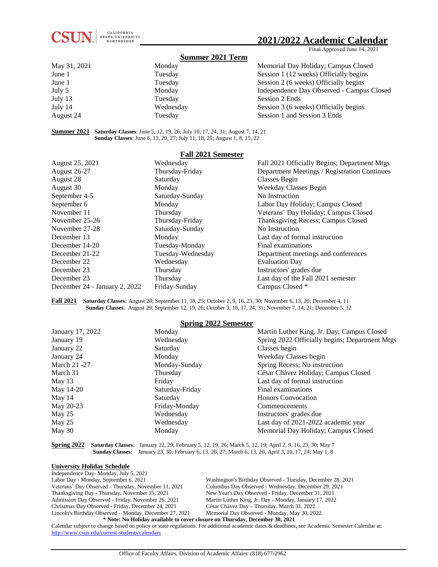

# **2021/2022 Academic Calendar**

Final Approved June 14, 2021

### **Summer 2021 Term**

| May 31, 2021 | Monday    | Memorial Day Holiday; Campus Closed       |
|--------------|-----------|-------------------------------------------|
| June 1       | Tuesday   | Session 1 (12 weeks) Officially begins    |
| June 1       | Tuesday   | Session 2 (6 weeks) Officially begins     |
| July 5       | Monday    | Independence Day Observed - Campus Closed |
| July 13      | Tuesday   | Session 2 Ends                            |
| July 14      | Wednesday | Session 3 (6 weeks) Officially begins     |
| August 24    | Tuesday   | Session 1 and Session 3 Ends              |

**Summer 2021 Saturday Classes**: June 5, 12, 19, 26; July 10, 17, 24, 31; August 7, 14, 21 **Sunday Classes**: June 6, 13, 20, 27; July 11, 18, 25; August 1, 8, 15, 22

| <b>Fall 2021 Semester</b>     |                   |                                              |  |  |
|-------------------------------|-------------------|----------------------------------------------|--|--|
| August 25, 2021               | Wednesday         | Fall 2021 Officially Begins; Department Mtgs |  |  |
| <b>August 26-27</b>           | Thursday-Friday   | Department Meetings / Registration Continues |  |  |
| August 28                     | Saturday          | Classes Begin                                |  |  |
| August 30                     | Monday            | Weekday Classes Begin                        |  |  |
| September 4-5                 | Saturday-Sunday   | No Instruction                               |  |  |
| September 6                   | Monday            | Labor Day Holiday; Campus Closed             |  |  |
| November 11                   | Thursday          | Veterans' Day Holiday; Campus Closed         |  |  |
| November 25-26                | Thursday-Friday   | Thanksgiving Recess; Campus Closed           |  |  |
| November 27-28                | Saturday-Sunday   | No Instruction                               |  |  |
| December 13                   | Monday            | Last day of formal instruction               |  |  |
| December 14-20                | Tuesday-Monday    | Final examinations                           |  |  |
| December 21-22                | Tuesday-Wednesday | Department meetings and conferences          |  |  |
| December 22                   | Wednesday         | <b>Evaluation Day</b>                        |  |  |
| December 23                   | Thursday          | Instructors' grades due                      |  |  |
| December 23                   | Thursday          | Last day of the Fall 2021 semester           |  |  |
| December 24 - January 2, 2022 | Friday-Sunday     | Campus Closed *                              |  |  |

**Fall 2021 Saturday Classes**: August 28; September 11, 18, 25; October 2, 9, 16, 23, 30; November 6, 13, 20; December 4, 11 **Sunday Classes**: August 29; September 12, 19, 26; October 3, 10, 17, 24, 31; November 7, 14, 21; December 5, 12

### **Spring 2022 Semester**

| оргиі <u>з</u> 2022 эспісяся |                 |                                                |  |  |
|------------------------------|-----------------|------------------------------------------------|--|--|
| January 17, 2022             | Monday          | Martin Luther King, Jr. Day; Campus Closed     |  |  |
| January 19                   | Wednesday       | Spring 2022 Officially begins; Department Mtgs |  |  |
| January 22                   | Saturday        | Classes begin                                  |  |  |
| January 24                   | Monday          | Weekday Classes begin                          |  |  |
| March 21 - 27                | Monday-Sunday   | Spring Recess; No instruction                  |  |  |
| March 31                     | Thursday        | César Chávez Holiday; Campus Closed            |  |  |
| May 13                       | Friday          | Last day of formal instruction                 |  |  |
| May 14-20                    | Saturday-Friday | Final examinations                             |  |  |
| May 14                       | Saturday        | <b>Honors Convocation</b>                      |  |  |
| May 20-23                    | Friday-Monday   | Commencements                                  |  |  |
| May $25$                     | Wednesday       | Instructors' grades due                        |  |  |
| May 25                       | Wednesday       | Last day of 2021-2022 academic year            |  |  |
| May 30                       | Monday          | Memorial Day Holiday; Campus Closed            |  |  |
|                              |                 |                                                |  |  |

**Spring 2022 Saturday Classes**: January 22, 29; February 5, 12, 19, 26; March 5, 12, 19; April 2, 9, 16, 23, 30; May 7  **Sunday Classes**: January 23, 30; February 6, 13, 20, 27; March 6, 13, 20, April 3, 10, 17, 24; May 1, 8

#### **University Holiday Schedule**

| Independence Day-Monday, July 5, 2021                                        |                                                             |  |  |
|------------------------------------------------------------------------------|-------------------------------------------------------------|--|--|
| Labor Day - Monday, September 6, 2021                                        | Washington's Birthday Observed - Tuesday, December 28, 2021 |  |  |
| Veterans' Day Observed - Thursday, November 11, 2021                         | Columbus Day Observed - Wednesday, December 29, 2021        |  |  |
| Thanksgiving Day - Thursday, November 25, 2021                               | New Year's Day Observed - Friday, December 31, 2021         |  |  |
| Admission Day Observed - Friday, November 26, 2021                           | Martin Luther King, Jr. Day - Monday, January 17, 2022      |  |  |
| Christmas Day Observed - Friday, December 24, 2021                           | César Chávez Day – Thursday, March 31, 2022                 |  |  |
| Lincoln's Birthday Observed – Monday, December 27, 2021                      | Memorial Day Observed - Monday, May 30, 2022                |  |  |
| * Note: No Holiday available to cover closure on Thursday, December 30, 2021 |                                                             |  |  |

Calendar subject to change based on policy or state regulations. For additional academic dates & deadlines, see Academic Semester Calendar at: <http://www.csun.edu/current-students/calendars>